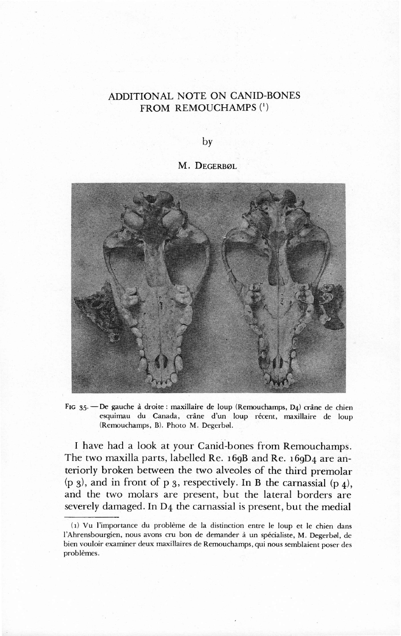## ADDITIONAL NOTE ON CANID-BONES FROM REMOUCHAMPS (')

by

## M. DEGERBØL



FIG 35.-De gauche à droite : maxillaire de loup (Remouchamps, D4) crâne de chien esquimau du Canada, crâne d'un loup récent, maxillaire de loup (Remouchamps, B). Photo M. Degerbøl.

I have had a look at your Canid-bones from Remouchamps. The two maxilla parts, labelled Re. 169B and Re. 169D4 are anteriorly broken between the two alveoles of the third premolar (p 3), and in front of p 3, respectively. In B the carnassial (p  $\Delta$ ). and the two molars are present, but the lateral borders are severely damaged.In D4 the carnassial is present, but the medial

<sup>(</sup>r) Vu l'importance du problème de la distinction enre le loup et le chien dans l'Ahrensbourgien, nous avons cru bon de demander à un spécialiste, M. Degerbøl, de bien vouloir examiner deux maxillaires de Remouchamps, qui nous semblaient poser des problèmes.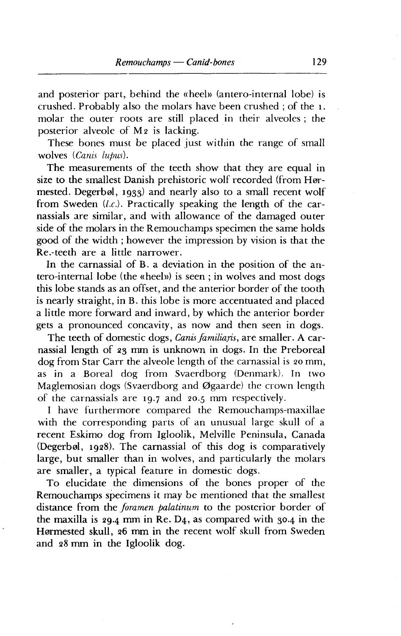and posterior part, behind the «heel» (antero-internal lobe) is crushed. Probably also the molars have been crushed; of the 1. molar the outer roots are still placed in their alveoles ; the posterior alveole of M<sub>2</sub> is lacking.

These bones must be placed just within the range of small wolves (Canis lupus).

The measurements of the teeth show that they are equal in size to the smallest Danish prehistoric wolf recorded (from Hormested. Degerbol, 1933) and nearly also to a small recent wolf from Sweden  $(l.c.)$ . Practically speaking the length of the carnassials are similar, and with allowance of the damaged outer side of the molars in the Remouchamps specimen the same holds good of the width ; however the impression by vision is that the Re.-teeth are a little narrower.

In the carnassial of B. a deviation in the position of the antero-internal lobe (the «heel») is seen ; in wolves and most dogs this lobe stands as an offset, and the anterior border of the tooth is nearly straight, in B. this lobe is more accentuated and placed a little more forward and inward, by which the anterior border gets a pronounced concavity, as now and then seen in dogs.

The teeth of domestic dogs, *Canis familiaris*, are smaller. A carnassial length of z3 mm is unknown in dogs. In the Preboreal dog from Star Carr the alveole length of the carnassial is zo mm, as in a Boreal dog from Svaerdborg (Denmark). In two Maglemosian dogs (Svaerdborg and Øgaarde) the crown length of the carnassials are  $19.7$  and  $20.5$  mm respectively.

I have furthermore compared the Remouchamps-maxillae with the corresponding parts of an unusual large skull of a recent Eskimo dog from Igloolik, Melville Peninsula, Canada (Degerbøl, 1928). The carnassial of this dog is comparatively large, but smaller than in wolves, and particularly the molars are smaller, a typical feature in domestic dogs.

To elucidate the dimensions of the bones proper of the Remouchamps specimens it may be mentioned that the smallest distance from the *foramen palatinum* to the posterior border of the maxilla is  $29.4$  mm in Re. D4, as compared with  $30.4$  in the Hormested skull, z6 mm in the recent wolf skull from Sweden and 28 mm in the Igloolik dog.